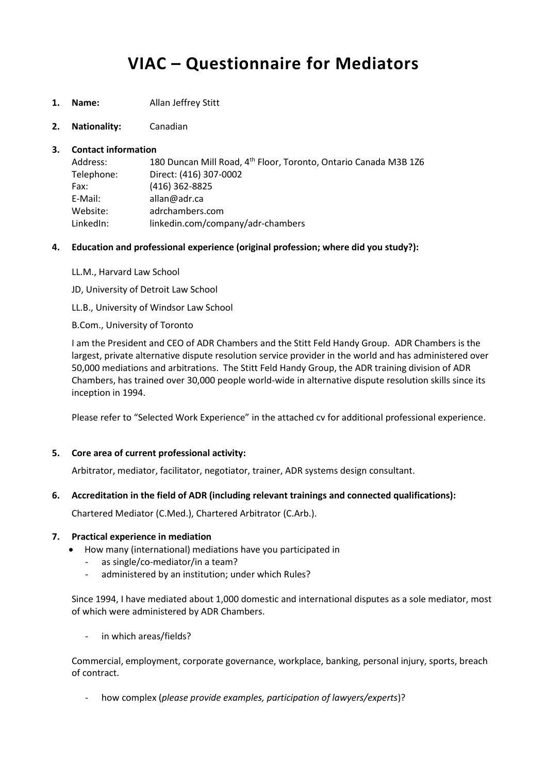# **VIAC – Questionnaire for Mediators**

- **1. Name:** Allan Jeffrey Stitt
- **2. Nationality:** Canadian

## **3. Contact information**

| Address:   | 180 Duncan Mill Road, 4 <sup>th</sup> Floor, Toronto, Ontario Canada M3B 126 |
|------------|------------------------------------------------------------------------------|
| Telephone: | Direct: (416) 307-0002                                                       |
| Fax:       | $(416)$ 362-8825                                                             |
| E-Mail:    | allan@adr.ca                                                                 |
| Website:   | adrchambers.com                                                              |
| LinkedIn:  | linkedin.com/company/adr-chambers                                            |
|            |                                                                              |

- **4. Education and professional experience (original profession; where did you study?):**
	- LL.M., Harvard Law School
	- JD, University of Detroit Law School
	- LL.B., University of Windsor Law School
	- B.Com., University of Toronto

I am the President and CEO of ADR Chambers and the Stitt Feld Handy Group. ADR Chambers is the largest, private alternative dispute resolution service provider in the world and has administered over 50,000 mediations and arbitrations. The Stitt Feld Handy Group, the ADR training division of ADR Chambers, has trained over 30,000 people world-wide in alternative dispute resolution skills since its inception in 1994.

Please refer to "Selected Work Experience" in the attached cv for additional professional experience.

## **5. Core area of current professional activity:**

Arbitrator, mediator, facilitator, negotiator, trainer, ADR systems design consultant.

## **6. Accreditation in the field of ADR (including relevant trainings and connected qualifications):**

Chartered Mediator (C.Med.), Chartered Arbitrator (C.Arb.).

#### **7. Practical experience in mediation**

- How many (international) mediations have you participated in
	- as single/co-mediator/in a team?
	- administered by an institution; under which Rules?

Since 1994, I have mediated about 1,000 domestic and international disputes as a sole mediator, most of which were administered by ADR Chambers.

in which areas/fields?

Commercial, employment, corporate governance, workplace, banking, personal injury, sports, breach of contract.

- how complex (*please provide examples, participation of lawyers/experts*)?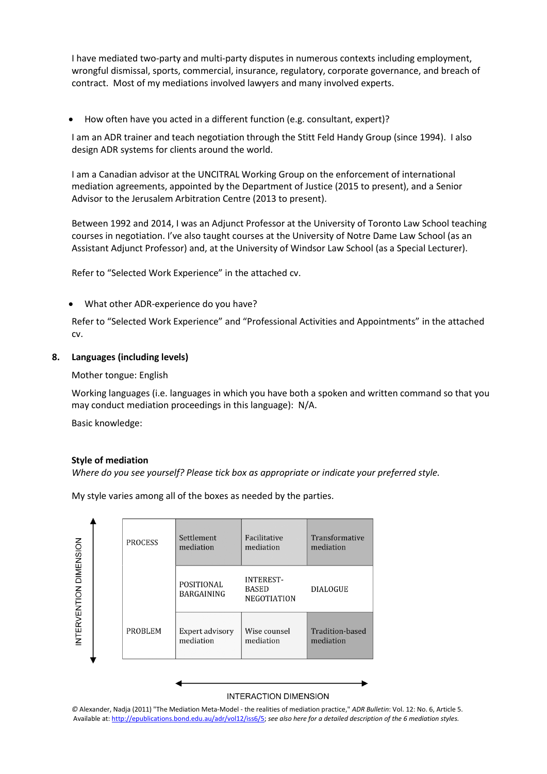I have mediated two-party and multi-party disputes in numerous contexts including employment, wrongful dismissal, sports, commercial, insurance, regulatory, corporate governance, and breach of contract. Most of my mediations involved lawyers and many involved experts.

How often have you acted in a different function (e.g. consultant, expert)?

I am an ADR trainer and teach negotiation through the Stitt Feld Handy Group (since 1994). I also design ADR systems for clients around the world.

I am a Canadian advisor at the UNCITRAL Working Group on the enforcement of international mediation agreements, appointed by the Department of Justice (2015 to present), and a Senior Advisor to the Jerusalem Arbitration Centre (2013 to present).

Between 1992 and 2014, I was an Adjunct Professor at the University of Toronto Law School teaching courses in negotiation. I've also taught courses at the University of Notre Dame Law School (as an Assistant Adjunct Professor) and, at the University of Windsor Law School (as a Special Lecturer).

Refer to "Selected Work Experience" in the attached cv.

What other ADR-experience do you have?

Refer to "Selected Work Experience" and "Professional Activities and Appointments" in the attached cv.

## **8. Languages (including levels)**

Mother tongue: English

Working languages (i.e. languages in which you have both a spoken and written command so that you may conduct mediation proceedings in this language): N/A.

Basic knowledge:

#### **Style of mediation**

*Where do you see yourself? Please tick box as appropriate or indicate your preferred style.*

My style varies among all of the boxes as needed by the parties.



*©* Alexander, Nadja (2011) "The Mediation Meta-Model - the realities of mediation practice," *ADR Bulletin*: Vol. 12: No. 6, Article 5. Available at[: http://epublications.bond.edu.au/adr/vol12/iss6/5;](http://epublications.bond.edu.au/adr/vol12/iss6/5) *see also here for a detailed description of the 6 mediation styles.*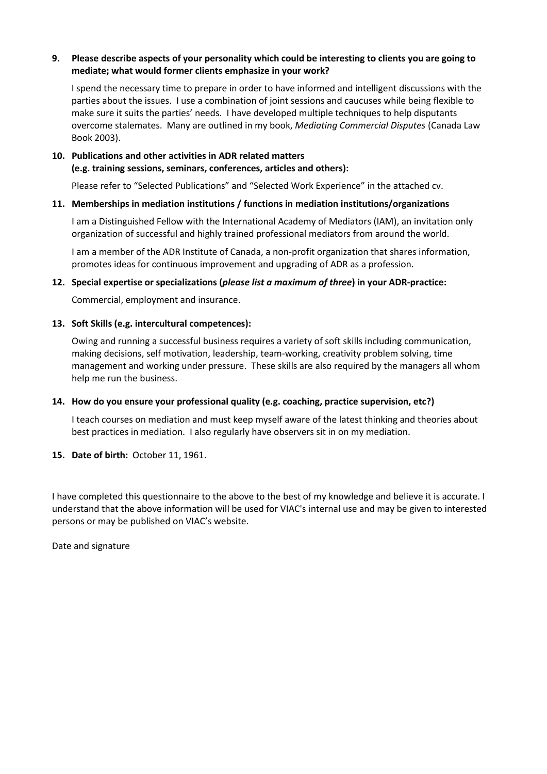## **9. Please describe aspects of your personality which could be interesting to clients you are going to mediate; what would former clients emphasize in your work?**

I spend the necessary time to prepare in order to have informed and intelligent discussions with the parties about the issues. I use a combination of joint sessions and caucuses while being flexible to make sure it suits the parties' needs. I have developed multiple techniques to help disputants overcome stalemates. Many are outlined in my book, *Mediating Commercial Disputes* (Canada Law Book 2003).

## **10. Publications and other activities in ADR related matters (e.g. training sessions, seminars, conferences, articles and others):**

Please refer to "Selected Publications" and "Selected Work Experience" in the attached cv.

## **11. Memberships in mediation institutions / functions in mediation institutions/organizations**

I am a Distinguished Fellow with the International Academy of Mediators (IAM), an invitation only organization of successful and highly trained professional mediators from around the world.

I am a member of the ADR Institute of Canada, a non-profit organization that shares information, promotes ideas for continuous improvement and upgrading of ADR as a profession.

## **12. Special expertise or specializations (***please list a maximum of three***) in your ADR-practice:**

Commercial, employment and insurance.

## **13. Soft Skills (e.g. intercultural competences):**

Owing and running a successful business requires a variety of soft skills including communication, making decisions, self motivation, leadership, team-working, creativity problem solving, time management and working under pressure. These skills are also required by the managers all whom help me run the business.

## **14. How do you ensure your professional quality (e.g. coaching, practice supervision, etc?)**

I teach courses on mediation and must keep myself aware of the latest thinking and theories about best practices in mediation. I also regularly have observers sit in on my mediation.

#### **15. Date of birth:** October 11, 1961.

I have completed this questionnaire to the above to the best of my knowledge and believe it is accurate. I understand that the above information will be used for VIAC's internal use and may be given to interested persons or may be published on VIAC's website.

Date and signature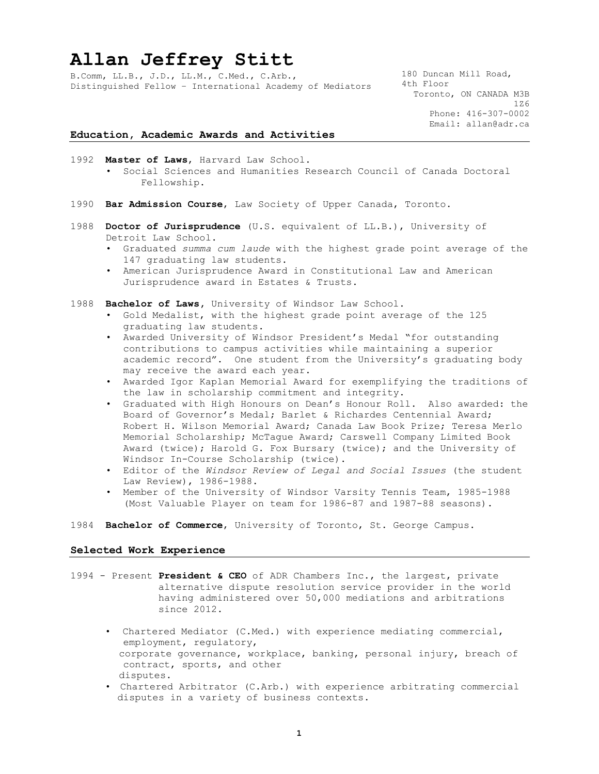## **Allan Jeffrey Stitt**

B.Comm, LL.B., J.D., LL.M., C.Med., C.Arb., Distinguished Fellow – International Academy of Mediators 180 Duncan Mill Road, 4th Floor Toronto, ON CANADA M3B 1Z6 Phone: 416-307-0002 Email: allan@adr.ca

#### **Education, Academic Awards and Activities**

- 1992 **Master of Laws**, Harvard Law School. • Social Sciences and Humanities Research Council of Canada Doctoral Fellowship.
- 1990 **Bar Admission Course**, Law Society of Upper Canada, Toronto.
- 1988 **Doctor of Jurisprudence** (U.S. equivalent of LL.B.), University of Detroit Law School.
	- Graduated *summa cum laude* with the highest grade point average of the 147 graduating law students.
	- American Jurisprudence Award in Constitutional Law and American Jurisprudence award in Estates & Trusts.
- 1988 **Bachelor of Laws,** University of Windsor Law School.
	- Gold Medalist, with the highest grade point average of the 125 graduating law students.
	- Awarded University of Windsor President's Medal "for outstanding contributions to campus activities while maintaining a superior academic record". One student from the University's graduating body may receive the award each year.
	- Awarded Igor Kaplan Memorial Award for exemplifying the traditions of the law in scholarship commitment and integrity.
	- Graduated with High Honours on Dean's Honour Roll. Also awarded: the Board of Governor's Medal; Barlet & Richardes Centennial Award; Robert H. Wilson Memorial Award; Canada Law Book Prize; Teresa Merlo Memorial Scholarship; McTague Award; Carswell Company Limited Book Award (twice); Harold G. Fox Bursary (twice); and the University of Windsor In-Course Scholarship (twice).
	- Editor of the *Windsor Review of Legal and Social Issues* (the student Law Review), 1986-1988.
	- Member of the University of Windsor Varsity Tennis Team, 1985-1988 (Most Valuable Player on team for 1986-87 and 1987-88 seasons).
- 1984 **Bachelor of Commerce**, University of Toronto, St. George Campus.

#### **Selected Work Experience**

- 1994 Present **President & CEO** of ADR Chambers Inc., the largest, private alternative dispute resolution service provider in the world having administered over 50,000 mediations and arbitrations since 2012.
	- Chartered Mediator (C.Med.) with experience mediating commercial, employment, regulatory, corporate governance, workplace, banking, personal injury, breach of contract, sports, and other disputes.
	- Chartered Arbitrator (C.Arb.) with experience arbitrating commercial disputes in a variety of business contexts.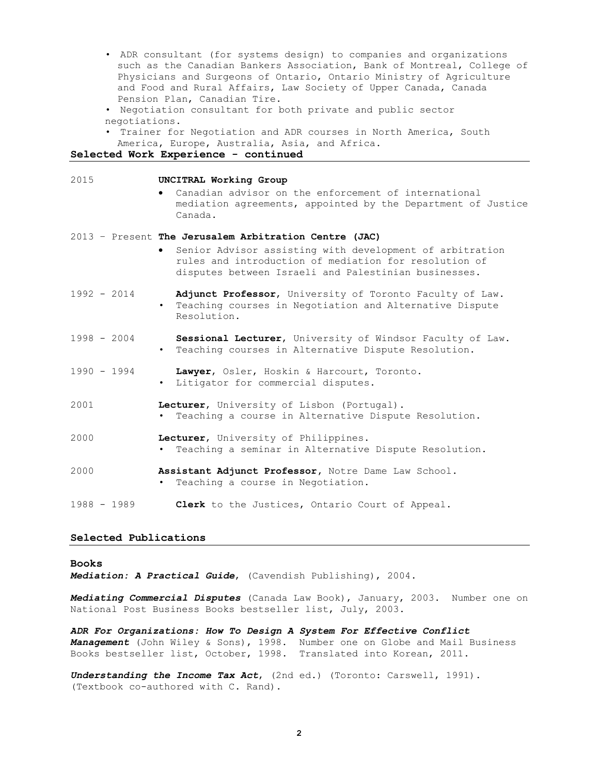- ADR consultant (for systems design) to companies and organizations such as the Canadian Bankers Association, Bank of Montreal, College of Physicians and Surgeons of Ontario, Ontario Ministry of Agriculture and Food and Rural Affairs, Law Society of Upper Canada, Canada Pension Plan, Canadian Tire.
- Negotiation consultant for both private and public sector negotiations.
- Trainer for Negotiation and ADR courses in North America, South America, Europe, Australia, Asia, and Africa.

#### **Selected Work Experience - continued**

| 2015          | UNCITRAL Working Group<br>Canadian advisor on the enforcement of international<br>mediation agreements, appointed by the Department of Justice<br>Canada.                                                                          |
|---------------|------------------------------------------------------------------------------------------------------------------------------------------------------------------------------------------------------------------------------------|
|               | 2013 - Present The Jerusalem Arbitration Centre (JAC)<br>Senior Advisor assisting with development of arbitration<br>rules and introduction of mediation for resolution of<br>disputes between Israeli and Palestinian businesses. |
| $1992 - 2014$ | Adjunct Professor, University of Toronto Faculty of Law.<br>• Teaching courses in Negotiation and Alternative Dispute<br>Resolution.                                                                                               |
| $1998 - 2004$ | Sessional Lecturer, University of Windsor Faculty of Law.<br>. Teaching courses in Alternative Dispute Resolution.                                                                                                                 |
| $1990 - 1994$ | Lawyer, Osler, Hoskin & Harcourt, Toronto.<br>• Litigator for commercial disputes.                                                                                                                                                 |
| 2001          | Lecturer, University of Lisbon (Portugal).<br>Teaching a course in Alternative Dispute Resolution.                                                                                                                                 |
| 2000          | Lecturer, University of Philippines.<br>Teaching a seminar in Alternative Dispute Resolution.                                                                                                                                      |
| 2000          | Assistant Adjunct Professor, Notre Dame Law School.<br>Teaching a course in Negotiation.                                                                                                                                           |
| $1988 - 1989$ | Clerk to the Justices, Ontario Court of Appeal.                                                                                                                                                                                    |

#### **Selected Publications**

#### **Books**

*Mediation: A Practical Guide*, (Cavendish Publishing), 2004.

*Mediating Commercial Disputes* (Canada Law Book), January, 2003. Number one on National Post Business Books bestseller list, July, 2003.

*ADR For Organizations: How To Design A System For Effective Conflict Management* (John Wiley & Sons), 1998. Number one on Globe and Mail Business Books bestseller list, October, 1998. Translated into Korean, 2011.

*Understanding the Income Tax Act*, (2nd ed.) (Toronto: Carswell, 1991). (Textbook co-authored with C. Rand).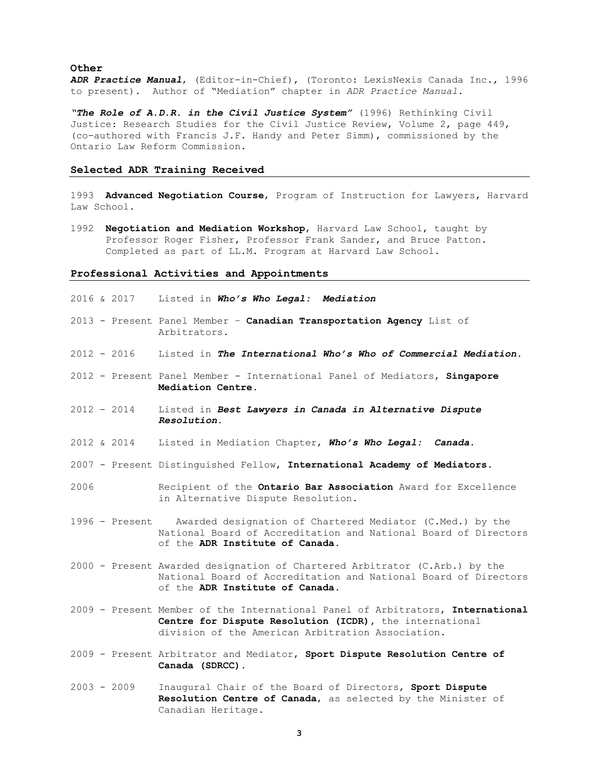#### **Other**

*ADR Practice Manual*, (Editor-in-Chief), (Toronto: LexisNexis Canada Inc., 1996 to present). Author of "Mediation" chapter in *ADR Practice Manual*.

*"The Role of A.D.R. in the Civil Justice System"* (1996) Rethinking Civil Justice: Research Studies for the Civil Justice Review, Volume 2, page 449, (co-authored with Francis J.F. Handy and Peter Simm), commissioned by the Ontario Law Reform Commission.

#### **Selected ADR Training Received**

1993 **Advanced Negotiation Course**, Program of Instruction for Lawyers, Harvard Law School.

1992 **Negotiation and Mediation Workshop**, Harvard Law School, taught by Professor Roger Fisher, Professor Frank Sander, and Bruce Patton. Completed as part of LL.M. Program at Harvard Law School.

#### **Professional Activities and Appointments**

- 2016 & 2017 Listed in *Who's Who Legal: Mediation*
- 2013 Present Panel Member **Canadian Transportation Agency** List of Arbitrators.
- 2012 2016 Listed in *The International Who's Who of Commercial Mediation.*
- 2012 Present Panel Member International Panel of Mediators, **Singapore Mediation Centre.**
- 2012 2014 Listed in *Best Lawyers in Canada in Alternative Dispute Resolution*.
- 2012 & 2014 Listed in Mediation Chapter, *Who's Who Legal: Canada*.
- 2007 Present Distinguished Fellow, **International Academy of Mediators**.
- 2006 Recipient of the **Ontario Bar Association** Award for Excellence in Alternative Dispute Resolution.
- 1996 Present Awarded designation of Chartered Mediator (C.Med.) by the National Board of Accreditation and National Board of Directors of the **ADR Institute of Canada**.
- 2000 Present Awarded designation of Chartered Arbitrator (C.Arb.) by the National Board of Accreditation and National Board of Directors of the **ADR Institute of Canada**.
- 2009 Present Member of the International Panel of Arbitrators, **International Centre for Dispute Resolution (ICDR),** the international division of the American Arbitration Association.
- 2009 Present Arbitrator and Mediator, **Sport Dispute Resolution Centre of Canada (SDRCC).**
- 2003 2009 Inaugural Chair of the Board of Directors, **Sport Dispute Resolution Centre of Canada**, as selected by the Minister of Canadian Heritage.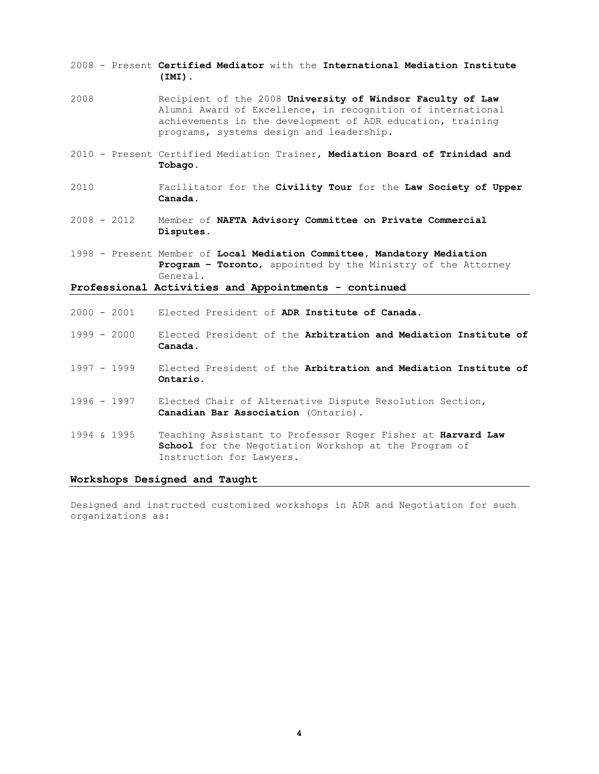- 2008 Present **Certified Mediator** with the **International Mediation Institute (IMI).**
- 2008 Recipient of the 2008 **University of Windsor Faculty of Law** Alumni Award of Excellence, in recognition of international achievements in the development of ADR education, training programs, systems design and leadership.
- 2010 Present Certified Mediation Trainer, **Mediation Board of Trinidad and Tobago**.
- 2010 Facilitator for the **Civility Tour** for the **Law Society of Upper Canada**.
- 2008 2012 Member of **NAFTA Advisory Committee on Private Commercial Disputes.**
- 1998 Present Member of **Local Mediation Committee, Mandatory Mediation Program – Toronto**, appointed by the Ministry of the Attorney General.

**Professional Activities and Appointments - continued**

- 2000 2001 Elected President of **ADR Institute of Canada**.
- 1999 2000 Elected President of the **Arbitration and Mediation Institute of Canada.**
- 1997 1999 Elected President of the **Arbitration and Mediation Institute of Ontario.**
- 1996 1997 Elected Chair of Alternative Dispute Resolution Section, **Canadian Bar Association** (Ontario).
- 1994 & 1995 Teaching Assistant to Professor Roger Fisher at **Harvard Law School** for the Negotiation Workshop at the Program of Instruction for Lawyers.

#### **Workshops Designed and Taught**

Designed and instructed customized workshops in ADR and Negotiation for such organizations as: